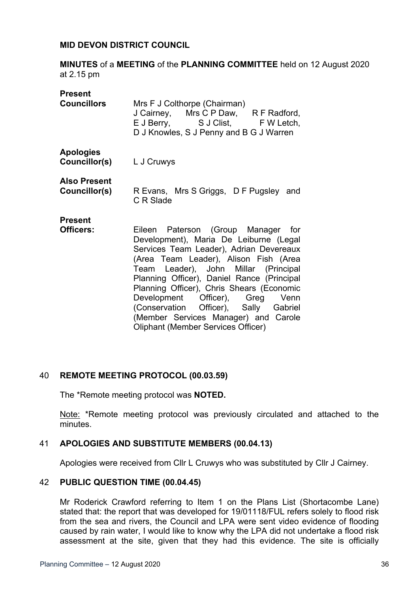### **MID DEVON DISTRICT COUNCIL**

**MINUTES** of a **MEETING** of the **PLANNING COMMITTEE** held on 12 August 2020 at 2.15 pm

| <b>Present</b><br><b>Councillors</b> | Mrs F J Colthorpe (Chairman)<br>J Cairney, Mrs C P Daw, R F Radford,<br>E J Berry, S J Clist, F W Letch,<br>D J Knowles, S J Penny and B G J Warren                                                                                                                                                                                                                                                                     |
|--------------------------------------|-------------------------------------------------------------------------------------------------------------------------------------------------------------------------------------------------------------------------------------------------------------------------------------------------------------------------------------------------------------------------------------------------------------------------|
| <b>Apologies</b><br>Councillor(s)    | L J Cruwys                                                                                                                                                                                                                                                                                                                                                                                                              |
| <b>Also Present</b><br>Councillor(s) | R Evans, Mrs S Griggs, D F Pugsley and<br>C R Slade                                                                                                                                                                                                                                                                                                                                                                     |
| <b>Present</b><br>Officers:          | Eileen Paterson (Group Manager for<br>Development), Maria De Leiburne (Legal<br>Services Team Leader), Adrian Devereaux<br>(Area Team Leader), Alison Fish (Area<br>Team Leader), John Millar (Principal<br>Planning Officer), Daniel Rance (Principal<br>Planning Officer), Chris Shears (Economic<br>Development Officer), Greg Venn<br>(Conservation Officer), Sally Gabriel<br>(Member Services Manager) and Carole |

### 40 **REMOTE MEETING PROTOCOL (00.03.59)**

The \*Remote meeting protocol was **NOTED.**

Note: \*Remote meeting protocol was previously circulated and attached to the minutes.

Oliphant (Member Services Officer)

### 41 **APOLOGIES AND SUBSTITUTE MEMBERS (00.04.13)**

Apologies were received from Cllr L Cruwys who was substituted by Cllr J Cairney.

#### 42 **PUBLIC QUESTION TIME (00.04.45)**

Mr Roderick Crawford referring to Item 1 on the Plans List (Shortacombe Lane) stated that: the report that was developed for 19/01118/FUL refers solely to flood risk from the sea and rivers, the Council and LPA were sent video evidence of flooding caused by rain water, I would like to know why the LPA did not undertake a flood risk assessment at the site, given that they had this evidence. The site is officially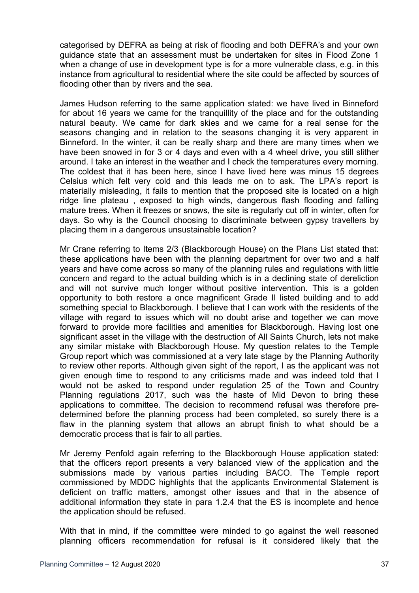categorised by DEFRA as being at risk of flooding and both DEFRA's and your own guidance state that an assessment must be undertaken for sites in Flood Zone 1 when a change of use in development type is for a more vulnerable class, e.g. in this instance from agricultural to residential where the site could be affected by sources of flooding other than by rivers and the sea.

James Hudson referring to the same application stated: we have lived in Binneford for about 16 years we came for the tranquillity of the place and for the outstanding natural beauty. We came for dark skies and we came for a real sense for the seasons changing and in relation to the seasons changing it is very apparent in Binneford. In the winter, it can be really sharp and there are many times when we have been snowed in for 3 or 4 days and even with a 4 wheel drive, you still slither around. I take an interest in the weather and I check the temperatures every morning. The coldest that it has been here, since I have lived here was minus 15 degrees Celsius which felt very cold and this leads me on to ask. The LPA's report is materially misleading, it fails to mention that the proposed site is located on a high ridge line plateau , exposed to high winds, dangerous flash flooding and falling mature trees. When it freezes or snows, the site is regularly cut off in winter, often for days. So why is the Council choosing to discriminate between gypsy travellers by placing them in a dangerous unsustainable location?

Mr Crane referring to Items 2/3 (Blackborough House) on the Plans List stated that: these applications have been with the planning department for over two and a half years and have come across so many of the planning rules and regulations with little concern and regard to the actual building which is in a declining state of dereliction and will not survive much longer without positive intervention. This is a golden opportunity to both restore a once magnificent Grade II listed building and to add something special to Blackborough. I believe that I can work with the residents of the village with regard to issues which will no doubt arise and together we can move forward to provide more facilities and amenities for Blackborough. Having lost one significant asset in the village with the destruction of All Saints Church, lets not make any similar mistake with Blackborough House. My question relates to the Temple Group report which was commissioned at a very late stage by the Planning Authority to review other reports. Although given sight of the report, I as the applicant was not given enough time to respond to any criticisms made and was indeed told that I would not be asked to respond under regulation 25 of the Town and Country Planning regulations 2017, such was the haste of Mid Devon to bring these applications to committee. The decision to recommend refusal was therefore predetermined before the planning process had been completed, so surely there is a flaw in the planning system that allows an abrupt finish to what should be a democratic process that is fair to all parties.

Mr Jeremy Penfold again referring to the Blackborough House application stated: that the officers report presents a very balanced view of the application and the submissions made by various parties including BACO. The Temple report commissioned by MDDC highlights that the applicants Environmental Statement is deficient on traffic matters, amongst other issues and that in the absence of additional information they state in para 1.2.4 that the ES is incomplete and hence the application should be refused.

With that in mind, if the committee were minded to go against the well reasoned planning officers recommendation for refusal is it considered likely that the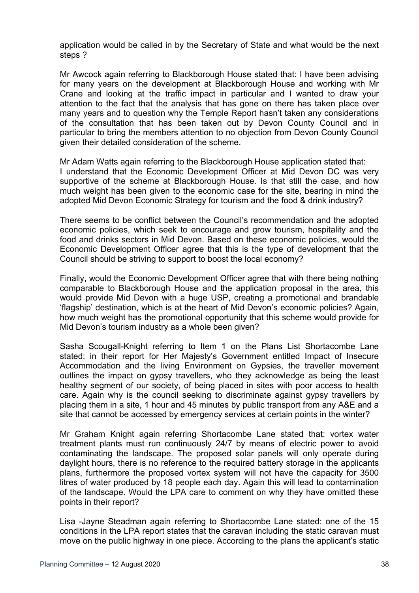application would be called in by the Secretary of State and what would be the next steps ?

Mr Awcock again referring to Blackborough House stated that: I have been advising for many years on the development at Blackborough House and working with Mr Crane and looking at the traffic impact in particular and I wanted to draw your attention to the fact that the analysis that has gone on there has taken place over many years and to question why the Temple Report hasn't taken any considerations of the consultation that has been taken out by Devon County Council and in particular to bring the members attention to no objection from Devon County Council given their detailed consideration of the scheme.

Mr Adam Watts again referring to the Blackborough House application stated that: I understand that the Economic Development Officer at Mid Devon DC was very supportive of the scheme at Blackborough House. Is that still the case, and how much weight has been given to the economic case for the site, bearing in mind the adopted Mid Devon Economic Strategy for tourism and the food & drink industry?

There seems to be conflict between the Council's recommendation and the adopted economic policies, which seek to encourage and grow tourism, hospitality and the food and drinks sectors in Mid Devon. Based on these economic policies, would the Economic Development Officer agree that this is the type of development that the Council should be striving to support to boost the local economy?

Finally, would the Economic Development Officer agree that with there being nothing comparable to Blackborough House and the application proposal in the area, this would provide Mid Devon with a huge USP, creating a promotional and brandable 'flagship' destination, which is at the heart of Mid Devon's economic policies? Again, how much weight has the promotional opportunity that this scheme would provide for Mid Devon's tourism industry as a whole been given?

Sasha Scougall-Knight referring to Item 1 on the Plans List Shortacombe Lane stated: in their report for Her Majesty's Government entitled Impact of Insecure Accommodation and the living Environment on Gypsies, the traveller movement outlines the impact on gypsy travellers, who they acknowledge as being the least healthy segment of our society, of being placed in sites with poor access to health care. Again why is the council seeking to discriminate against gypsy travellers by placing them in a site, 1 hour and 45 minutes by public transport from any A&E and a site that cannot be accessed by emergency services at certain points in the winter?

Mr Graham Knight again referring Shortacombe Lane stated that: vortex water treatment plants must run continuously 24/7 by means of electric power to avoid contaminating the landscape. The proposed solar panels will only operate during daylight hours, there is no reference to the required battery storage in the applicants plans, furthermore the proposed vortex system will not have the capacity for 3500 litres of water produced by 18 people each day. Again this will lead to contamination of the landscape. Would the LPA care to comment on why they have omitted these points in their report?

Lisa -Jayne Steadman again referring to Shortacombe Lane stated: one of the 15 conditions in the LPA report states that the caravan including the static caravan must move on the public highway in one piece. According to the plans the applicant's static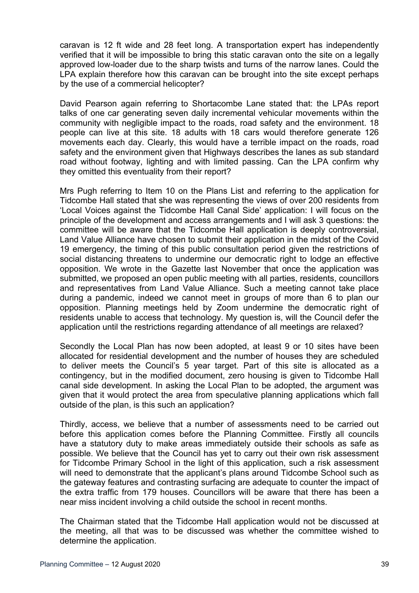caravan is 12 ft wide and 28 feet long. A transportation expert has independently verified that it will be impossible to bring this static caravan onto the site on a legally approved low-loader due to the sharp twists and turns of the narrow lanes. Could the LPA explain therefore how this caravan can be brought into the site except perhaps by the use of a commercial helicopter?

David Pearson again referring to Shortacombe Lane stated that: the LPAs report talks of one car generating seven daily incremental vehicular movements within the community with negligible impact to the roads, road safety and the environment. 18 people can live at this site. 18 adults with 18 cars would therefore generate 126 movements each day. Clearly, this would have a terrible impact on the roads, road safety and the environment given that Highways describes the lanes as sub standard road without footway, lighting and with limited passing. Can the LPA confirm why they omitted this eventuality from their report?

Mrs Pugh referring to Item 10 on the Plans List and referring to the application for Tidcombe Hall stated that she was representing the views of over 200 residents from 'Local Voices against the Tidcombe Hall Canal Side' application: I will focus on the principle of the development and access arrangements and I will ask 3 questions: the committee will be aware that the Tidcombe Hall application is deeply controversial, Land Value Alliance have chosen to submit their application in the midst of the Covid 19 emergency, the timing of this public consultation period given the restrictions of social distancing threatens to undermine our democratic right to lodge an effective opposition. We wrote in the Gazette last November that once the application was submitted, we proposed an open public meeting with all parties, residents, councillors and representatives from Land Value Alliance. Such a meeting cannot take place during a pandemic, indeed we cannot meet in groups of more than 6 to plan our opposition. Planning meetings held by Zoom undermine the democratic right of residents unable to access that technology. My question is, will the Council defer the application until the restrictions regarding attendance of all meetings are relaxed?

Secondly the Local Plan has now been adopted, at least 9 or 10 sites have been allocated for residential development and the number of houses they are scheduled to deliver meets the Council's 5 year target. Part of this site is allocated as a contingency, but in the modified document, zero housing is given to Tidcombe Hall canal side development. In asking the Local Plan to be adopted, the argument was given that it would protect the area from speculative planning applications which fall outside of the plan, is this such an application?

Thirdly, access, we believe that a number of assessments need to be carried out before this application comes before the Planning Committee. Firstly all councils have a statutory duty to make areas immediately outside their schools as safe as possible. We believe that the Council has yet to carry out their own risk assessment for Tidcombe Primary School in the light of this application, such a risk assessment will need to demonstrate that the applicant's plans around Tidcombe School such as the gateway features and contrasting surfacing are adequate to counter the impact of the extra traffic from 179 houses. Councillors will be aware that there has been a near miss incident involving a child outside the school in recent months.

The Chairman stated that the Tidcombe Hall application would not be discussed at the meeting, all that was to be discussed was whether the committee wished to determine the application.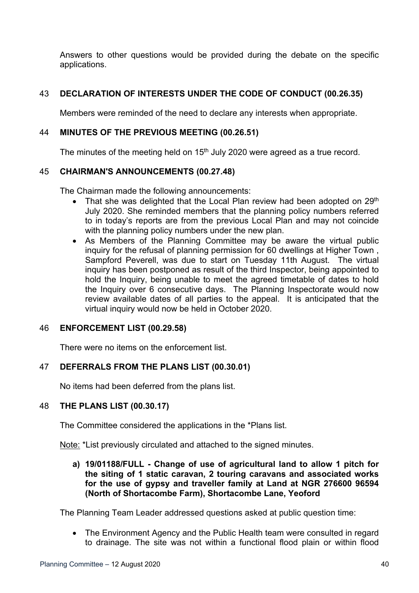Answers to other questions would be provided during the debate on the specific applications.

# 43 **DECLARATION OF INTERESTS UNDER THE CODE OF CONDUCT (00.26.35)**

Members were reminded of the need to declare any interests when appropriate.

## 44 **MINUTES OF THE PREVIOUS MEETING (00.26.51)**

The minutes of the meeting held on  $15<sup>th</sup>$  July 2020 were agreed as a true record.

### 45 **CHAIRMAN'S ANNOUNCEMENTS (00.27.48)**

The Chairman made the following announcements:

- That she was delighted that the Local Plan review had been adopted on 29<sup>th</sup> July 2020. She reminded members that the planning policy numbers referred to in today's reports are from the previous Local Plan and may not coincide with the planning policy numbers under the new plan.
- As Members of the Planning Committee may be aware the virtual public inquiry for the refusal of planning permission for 60 dwellings at Higher Town , Sampford Peverell, was due to start on Tuesday 11th August. The virtual inquiry has been postponed as result of the third Inspector, being appointed to hold the Inquiry, being unable to meet the agreed timetable of dates to hold the Inquiry over 6 consecutive days. The Planning Inspectorate would now review available dates of all parties to the appeal. It is anticipated that the virtual inquiry would now be held in October 2020.

#### 46 **ENFORCEMENT LIST (00.29.58)**

There were no items on the enforcement list.

#### 47 **DEFERRALS FROM THE PLANS LIST (00.30.01)**

No items had been deferred from the plans list.

### 48 **THE PLANS LIST (00.30.17)**

The Committee considered the applications in the \*Plans list.

Note: \*List previously circulated and attached to the signed minutes.

**a) 19/01188/FULL - Change of use of agricultural land to allow 1 pitch for the siting of 1 static caravan, 2 touring caravans and associated works for the use of gypsy and traveller family at Land at NGR 276600 96594 (North of Shortacombe Farm), Shortacombe Lane, Yeoford**

The Planning Team Leader addressed questions asked at public question time:

• The Environment Agency and the Public Health team were consulted in regard to drainage. The site was not within a functional flood plain or within flood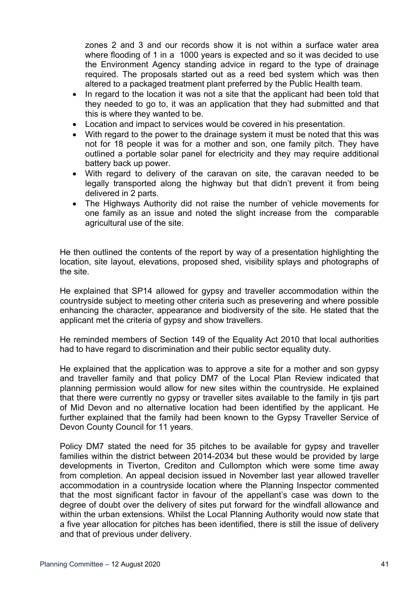zones 2 and 3 and our records show it is not within a surface water area where flooding of 1 in a 1000 years is expected and so it was decided to use the Environment Agency standing advice in regard to the type of drainage required. The proposals started out as a reed bed system which was then altered to a packaged treatment plant preferred by the Public Health team.

- In regard to the location it was not a site that the applicant had been told that they needed to go to, it was an application that they had submitted and that this is where they wanted to be.
- Location and impact to services would be covered in his presentation.
- With regard to the power to the drainage system it must be noted that this was not for 18 people it was for a mother and son, one family pitch. They have outlined a portable solar panel for electricity and they may require additional battery back up power.
- With regard to delivery of the caravan on site, the caravan needed to be legally transported along the highway but that didn't prevent it from being delivered in 2 parts.
- The Highways Authority did not raise the number of vehicle movements for one family as an issue and noted the slight increase from the comparable agricultural use of the site.

He then outlined the contents of the report by way of a presentation highlighting the location, site layout, elevations, proposed shed, visibility splays and photographs of the site.

He explained that SP14 allowed for gypsy and traveller accommodation within the countryside subject to meeting other criteria such as presevering and where possible enhancing the character, appearance and biodiversity of the site. He stated that the applicant met the criteria of gypsy and show travellers.

He reminded members of Section 149 of the Equality Act 2010 that local authorities had to have regard to discrimination and their public sector equality duty.

He explained that the application was to approve a site for a mother and son gypsy and traveller family and that policy DM7 of the Local Plan Review indicated that planning permission would allow for new sites within the countryside. He explained that there were currently no gypsy or traveller sites available to the family in tjis part of Mid Devon and no alternative location had been identified by the applicant. He further explained that the family had been known to the Gypsy Traveller Service of Devon County Council for 11 years.

Policy DM7 stated the need for 35 pitches to be available for gypsy and traveller families within the district between 2014-2034 but these would be provided by large developments in Tiverton, Crediton and Cullompton which were some time away from completion. An appeal decision issued in November last year allowed traveller accommodation in a countryside location where the Planning Inspector commented that the most significant factor in favour of the appellant's case was down to the degree of doubt over the delivery of sites put forward for the windfall allowance and within the urban extensions. Whilst the Local Planning Authority would now state that a five year allocation for pitches has been identified, there is still the issue of delivery and that of previous under delivery.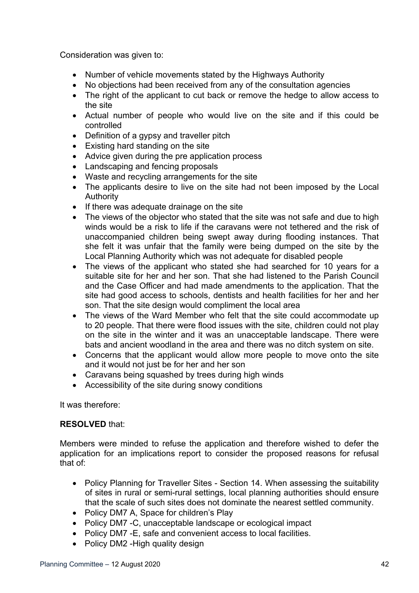Consideration was given to:

- Number of vehicle movements stated by the Highways Authority
- No objections had been received from any of the consultation agencies
- The right of the applicant to cut back or remove the hedge to allow access to the site
- Actual number of people who would live on the site and if this could be controlled
- Definition of a gypsy and traveller pitch
- Existing hard standing on the site
- Advice given during the pre application process
- Landscaping and fencing proposals
- Waste and recycling arrangements for the site
- The applicants desire to live on the site had not been imposed by the Local Authority
- If there was adequate drainage on the site
- The views of the objector who stated that the site was not safe and due to high winds would be a risk to life if the caravans were not tethered and the risk of unaccompanied children being swept away during flooding instances. That she felt it was unfair that the family were being dumped on the site by the Local Planning Authority which was not adequate for disabled people
- The views of the applicant who stated she had searched for 10 years for a suitable site for her and her son. That she had listened to the Parish Council and the Case Officer and had made amendments to the application. That the site had good access to schools, dentists and health facilities for her and her son. That the site design would compliment the local area
- The views of the Ward Member who felt that the site could accommodate up to 20 people. That there were flood issues with the site, children could not play on the site in the winter and it was an unacceptable landscape. There were bats and ancient woodland in the area and there was no ditch system on site.
- Concerns that the applicant would allow more people to move onto the site and it would not just be for her and her son
- Caravans being squashed by trees during high winds
- Accessibility of the site during snowy conditions

It was therefore:

# **RESOLVED** that:

Members were minded to refuse the application and therefore wished to defer the application for an implications report to consider the proposed reasons for refusal that of:

- Policy Planning for Traveller Sites Section 14. When assessing the suitability of sites in rural or semi-rural settings, local planning authorities should ensure that the scale of such sites does not dominate the nearest settled community.
- Policy DM7 A, Space for children's Play
- Policy DM7 C, unacceptable landscape or ecological impact
- Policy DM7 E, safe and convenient access to local facilities.
- Policy DM2 High quality design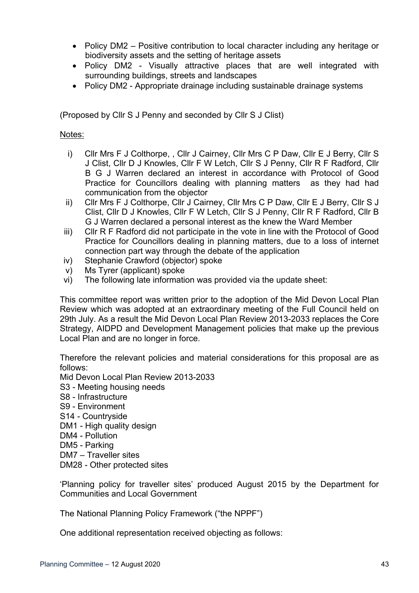- Policy DM2 Positive contribution to local character including any heritage or biodiversity assets and the setting of heritage assets
- Policy DM2 Visually attractive places that are well integrated with surrounding buildings, streets and landscapes
- Policy DM2 Appropriate drainage including sustainable drainage systems

(Proposed by Cllr S J Penny and seconded by Cllr S J Clist)

# Notes:

- i) Cllr Mrs F J Colthorpe, , Cllr J Cairney, Cllr Mrs C P Daw, Cllr E J Berry, Cllr S J Clist, Cllr D J Knowles, Cllr F W Letch, Cllr S J Penny, Cllr R F Radford, Cllr B G J Warren declared an interest in accordance with Protocol of Good Practice for Councillors dealing with planning matters as they had had communication from the objector
- ii) Cllr Mrs F J Colthorpe, Cllr J Cairney, Cllr Mrs C P Daw, Cllr E J Berry, Cllr S J Clist, Cllr D J Knowles, Cllr F W Letch, Cllr S J Penny, Cllr R F Radford, Cllr B G J Warren declared a personal interest as the knew the Ward Member
- iii) Cllr R F Radford did not participate in the vote in line with the Protocol of Good Practice for Councillors dealing in planning matters, due to a loss of internet connection part way through the debate of the application
- iv) Stephanie Crawford (objector) spoke
- v) Ms Tyrer (applicant) spoke
- vi) The following late information was provided via the update sheet:

This committee report was written prior to the adoption of the Mid Devon Local Plan Review which was adopted at an extraordinary meeting of the Full Council held on 29th July. As a result the Mid Devon Local Plan Review 2013-2033 replaces the Core Strategy, AIDPD and Development Management policies that make up the previous Local Plan and are no longer in force.

Therefore the relevant policies and material considerations for this proposal are as follows:

Mid Devon Local Plan Review 2013-2033

- S3 Meeting housing needs
- S8 Infrastructure
- S9 Environment
- S14 Countryside
- DM1 High quality design
- DM4 Pollution
- DM5 Parking
- DM7 Traveller sites
- DM28 Other protected sites

'Planning policy for traveller sites' produced August 2015 by the Department for Communities and Local Government

The National Planning Policy Framework ("the NPPF")

One additional representation received objecting as follows: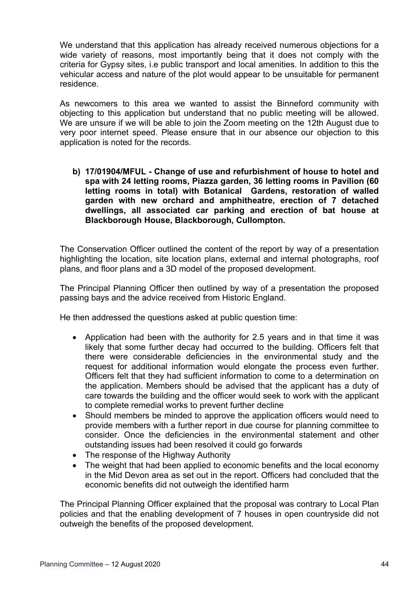We understand that this application has already received numerous objections for a wide variety of reasons, most importantly being that it does not comply with the criteria for Gypsy sites, i.e public transport and local amenities. In addition to this the vehicular access and nature of the plot would appear to be unsuitable for permanent residence.

As newcomers to this area we wanted to assist the Binneford community with objecting to this application but understand that no public meeting will be allowed. We are unsure if we will be able to join the Zoom meeting on the 12th August due to very poor internet speed. Please ensure that in our absence our objection to this application is noted for the records.

**b) 17/01904/MFUL - Change of use and refurbishment of house to hotel and spa with 24 letting rooms, Piazza garden, 36 letting rooms in Pavilion (60 letting rooms in total) with Botanical Gardens, restoration of walled garden with new orchard and amphitheatre, erection of 7 detached dwellings, all associated car parking and erection of bat house at Blackborough House, Blackborough, Cullompton.**

The Conservation Officer outlined the content of the report by way of a presentation highlighting the location, site location plans, external and internal photographs, roof plans, and floor plans and a 3D model of the proposed development.

The Principal Planning Officer then outlined by way of a presentation the proposed passing bays and the advice received from Historic England.

He then addressed the questions asked at public question time:

- Application had been with the authority for 2.5 years and in that time it was likely that some further decay had occurred to the building. Officers felt that there were considerable deficiencies in the environmental study and the request for additional information would elongate the process even further. Officers felt that they had sufficient information to come to a determination on the application. Members should be advised that the applicant has a duty of care towards the building and the officer would seek to work with the applicant to complete remedial works to prevent further decline
- Should members be minded to approve the application officers would need to provide members with a further report in due course for planning committee to consider. Once the deficiencies in the environmental statement and other outstanding issues had been resolved it could go forwards
- The response of the Highway Authority
- The weight that had been applied to economic benefits and the local economy in the Mid Devon area as set out in the report. Officers had concluded that the economic benefits did not outweigh the identified harm

The Principal Planning Officer explained that the proposal was contrary to Local Plan policies and that the enabling development of 7 houses in open countryside did not outweigh the benefits of the proposed development.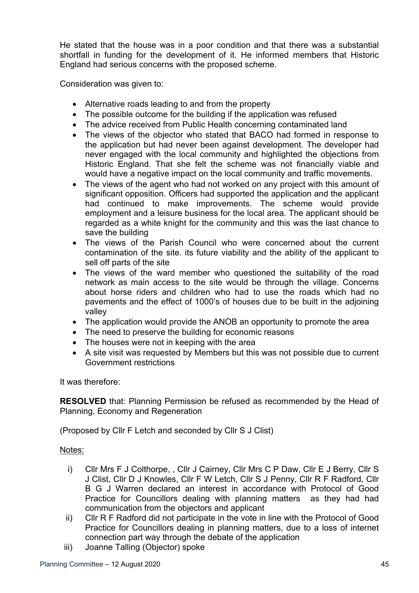He stated that the house was in a poor condition and that there was a substantial shortfall in funding for the development of it. He informed members that Historic England had serious concerns with the proposed scheme.

Consideration was given to:

- Alternative roads leading to and from the property
- The possible outcome for the building if the application was refused
- The advice received from Public Health concerning contaminated land
- The views of the objector who stated that BACO had formed in response to the application but had never been against development. The developer had never engaged with the local community and highlighted the objections from Historic England. That she felt the scheme was not financially viable and would have a negative impact on the local community and traffic movements.
- The views of the agent who had not worked on any project with this amount of significant opposition. Officers had supported the application and the applicant had continued to make improvements. The scheme would provide employment and a leisure business for the local area. The applicant should be regarded as a white knight for the community and this was the last chance to save the building
- The views of the Parish Council who were concerned about the current contamination of the site. its future viability and the ability of the applicant to sell off parts of the site
- The views of the ward member who questioned the suitability of the road network as main access to the site would be through the village. Concerns about horse riders and children who had to use the roads which had no pavements and the effect of 1000's of houses due to be built in the adjoining valley
- The application would provide the ANOB an opportunity to promote the area
- The need to preserve the building for economic reasons
- The houses were not in keeping with the area
- A site visit was requested by Members but this was not possible due to current Government restrictions

It was therefore:

**RESOLVED** that: Planning Permission be refused as recommended by the Head of Planning, Economy and Regeneration

(Proposed by Cllr F Letch and seconded by Cllr S J Clist)

### Notes:

- i) Cllr Mrs F J Colthorpe, , Cllr J Cairney, Cllr Mrs C P Daw, Cllr E J Berry, Cllr S J Clist, Cllr D J Knowles, Cllr F W Letch, Cllr S J Penny, Cllr R F Radford, Cllr B G J Warren declared an interest in accordance with Protocol of Good Practice for Councillors dealing with planning matters as they had had communication from the objectors and applicant
- ii) Cllr R F Radford did not participate in the vote in line with the Protocol of Good Practice for Councillors dealing in planning matters, due to a loss of internet connection part way through the debate of the application
- iii) Joanne Talling (Objector) spoke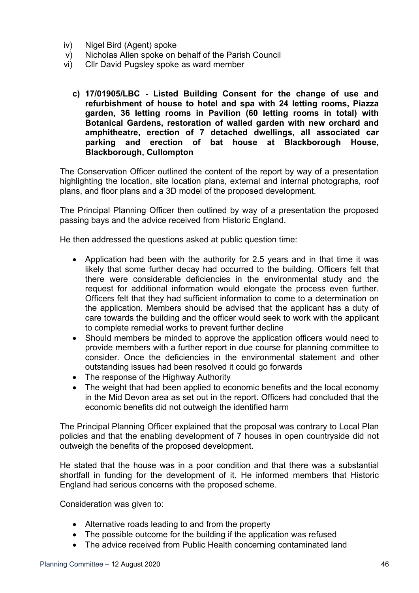- iv) Nigel Bird (Agent) spoke
- v) Nicholas Allen spoke on behalf of the Parish Council
- vi) Cllr David Pugsley spoke as ward member
	- **c) 17/01905/LBC - Listed Building Consent for the change of use and refurbishment of house to hotel and spa with 24 letting rooms, Piazza garden, 36 letting rooms in Pavilion (60 letting rooms in total) with Botanical Gardens, restoration of walled garden with new orchard and amphitheatre, erection of 7 detached dwellings, all associated car parking and erection of bat house at Blackborough House, Blackborough, Cullompton**

The Conservation Officer outlined the content of the report by way of a presentation highlighting the location, site location plans, external and internal photographs, roof plans, and floor plans and a 3D model of the proposed development.

The Principal Planning Officer then outlined by way of a presentation the proposed passing bays and the advice received from Historic England.

He then addressed the questions asked at public question time:

- Application had been with the authority for 2.5 years and in that time it was likely that some further decay had occurred to the building. Officers felt that there were considerable deficiencies in the environmental study and the request for additional information would elongate the process even further. Officers felt that they had sufficient information to come to a determination on the application. Members should be advised that the applicant has a duty of care towards the building and the officer would seek to work with the applicant to complete remedial works to prevent further decline
- Should members be minded to approve the application officers would need to provide members with a further report in due course for planning committee to consider. Once the deficiencies in the environmental statement and other outstanding issues had been resolved it could go forwards
- The response of the Highway Authority
- The weight that had been applied to economic benefits and the local economy in the Mid Devon area as set out in the report. Officers had concluded that the economic benefits did not outweigh the identified harm

The Principal Planning Officer explained that the proposal was contrary to Local Plan policies and that the enabling development of 7 houses in open countryside did not outweigh the benefits of the proposed development.

He stated that the house was in a poor condition and that there was a substantial shortfall in funding for the development of it. He informed members that Historic England had serious concerns with the proposed scheme.

Consideration was given to:

- Alternative roads leading to and from the property
- The possible outcome for the building if the application was refused
- The advice received from Public Health concerning contaminated land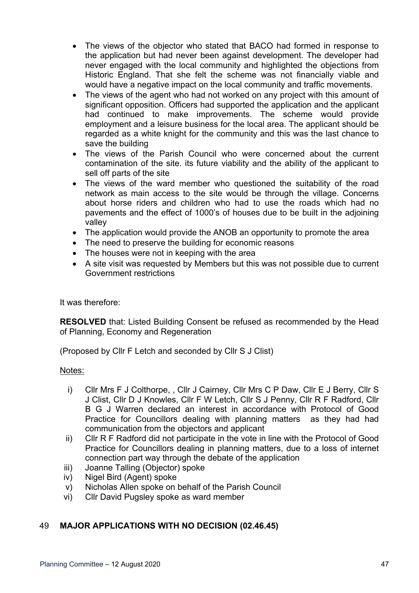- The views of the objector who stated that BACO had formed in response to the application but had never been against development. The developer had never engaged with the local community and highlighted the objections from Historic England. That she felt the scheme was not financially viable and would have a negative impact on the local community and traffic movements.
- The views of the agent who had not worked on any project with this amount of significant opposition. Officers had supported the application and the applicant had continued to make improvements. The scheme would provide employment and a leisure business for the local area. The applicant should be regarded as a white knight for the community and this was the last chance to save the building
- The views of the Parish Council who were concerned about the current contamination of the site. its future viability and the ability of the applicant to sell off parts of the site
- The views of the ward member who questioned the suitability of the road network as main access to the site would be through the village. Concerns about horse riders and children who had to use the roads which had no pavements and the effect of 1000's of houses due to be built in the adjoining valley
- The application would provide the ANOB an opportunity to promote the area
- The need to preserve the building for economic reasons
- The houses were not in keeping with the area
- A site visit was requested by Members but this was not possible due to current Government restrictions

It was therefore:

**RESOLVED** that: Listed Building Consent be refused as recommended by the Head of Planning, Economy and Regeneration

(Proposed by Cllr F Letch and seconded by Cllr S J Clist)

Notes:

- i) Cllr Mrs F J Colthorpe, , Cllr J Cairney, Cllr Mrs C P Daw, Cllr E J Berry, Cllr S J Clist, Cllr D J Knowles, Cllr F W Letch, Cllr S J Penny, Cllr R F Radford, Cllr B G J Warren declared an interest in accordance with Protocol of Good Practice for Councillors dealing with planning matters as they had had communication from the objectors and applicant
- ii) Cllr R F Radford did not participate in the vote in line with the Protocol of Good Practice for Councillors dealing in planning matters, due to a loss of internet connection part way through the debate of the application
- iii) Joanne Talling (Objector) spoke
- iv) Nigel Bird (Agent) spoke
- v) Nicholas Allen spoke on behalf of the Parish Council
- vi) Cllr David Pugsley spoke as ward member

# 49 **MAJOR APPLICATIONS WITH NO DECISION (02.46.45)**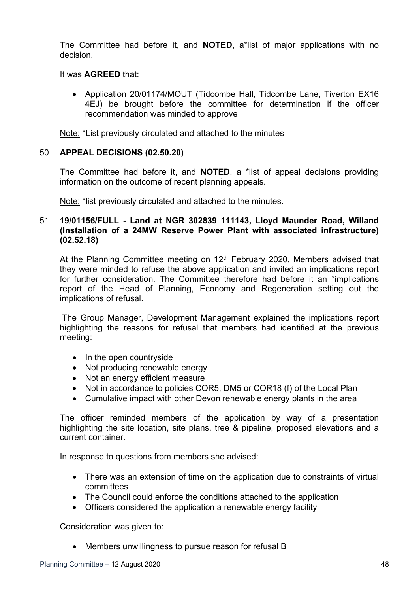The Committee had before it, and **NOTED**, a\*list of major applications with no decision.

### It was **AGREED** that:

 Application 20/01174/MOUT (Tidcombe Hall, Tidcombe Lane, Tiverton EX16 4EJ) be brought before the committee for determination if the officer recommendation was minded to approve

Note: \*List previously circulated and attached to the minutes

# 50 **APPEAL DECISIONS (02.50.20)**

The Committee had before it, and **NOTED**, a \*list of appeal decisions providing information on the outcome of recent planning appeals.

Note: \*list previously circulated and attached to the minutes.

### 51 **19/01156/FULL - Land at NGR 302839 111143, Lloyd Maunder Road, Willand (Installation of a 24MW Reserve Power Plant with associated infrastructure) (02.52.18)**

At the Planning Committee meeting on 12<sup>th</sup> February 2020, Members advised that they were minded to refuse the above application and invited an implications report for further consideration. The Committee therefore had before it an \*implications report of the Head of Planning, Economy and Regeneration setting out the implications of refusal.

The Group Manager, Development Management explained the implications report highlighting the reasons for refusal that members had identified at the previous meeting:

- In the open countryside
- Not producing renewable energy
- Not an energy efficient measure
- Not in accordance to policies COR5, DM5 or COR18 (f) of the Local Plan
- Cumulative impact with other Devon renewable energy plants in the area

The officer reminded members of the application by way of a presentation highlighting the site location, site plans, tree & pipeline, proposed elevations and a current container.

In response to questions from members she advised:

- There was an extension of time on the application due to constraints of virtual committees
- The Council could enforce the conditions attached to the application
- Officers considered the application a renewable energy facility

Consideration was given to:

• Members unwillingness to pursue reason for refusal B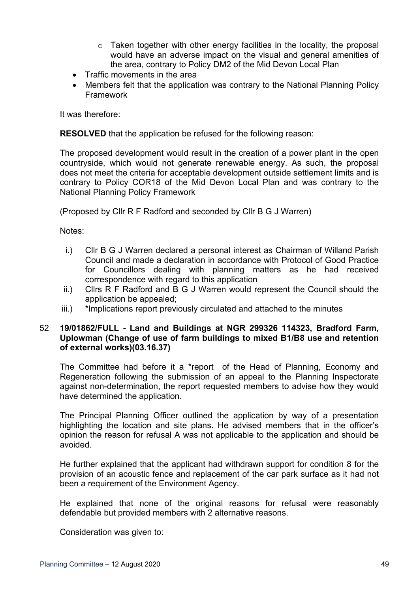- $\circ$  Taken together with other energy facilities in the locality, the proposal would have an adverse impact on the visual and general amenities of the area, contrary to Policy DM2 of the Mid Devon Local Plan
- Traffic movements in the area
- Members felt that the application was contrary to the National Planning Policy Framework

It was therefore:

**RESOLVED** that the application be refused for the following reason:

The proposed development would result in the creation of a power plant in the open countryside, which would not generate renewable energy. As such, the proposal does not meet the criteria for acceptable development outside settlement limits and is contrary to Policy COR18 of the Mid Devon Local Plan and was contrary to the National Planning Policy Framework

(Proposed by Cllr R F Radford and seconded by Cllr B G J Warren)

#### Notes:

- i.) Cllr B G J Warren declared a personal interest as Chairman of Willand Parish Council and made a declaration in accordance with Protocol of Good Practice for Councillors dealing with planning matters as he had received correspondence with regard to this application
- ii.) Cllrs R F Radford and B G J Warren would represent the Council should the application be appealed;
- iii.) \*Implications report previously circulated and attached to the minutes

### 52 **19/01862/FULL - Land and Buildings at NGR 299326 114323, Bradford Farm, Uplowman (Change of use of farm buildings to mixed B1/B8 use and retention of external works)(03.16.37)**

The Committee had before it a \*report of the Head of Planning, Economy and Regeneration following the submission of an appeal to the Planning Inspectorate against non-determination, the report requested members to advise how they would have determined the application.

The Principal Planning Officer outlined the application by way of a presentation highlighting the location and site plans. He advised members that in the officer's opinion the reason for refusal A was not applicable to the application and should be avoided.

He further explained that the applicant had withdrawn support for condition 8 for the provision of an acoustic fence and replacement of the car park surface as it had not been a requirement of the Environment Agency.

He explained that none of the original reasons for refusal were reasonably defendable but provided members with 2 alternative reasons.

Consideration was given to: